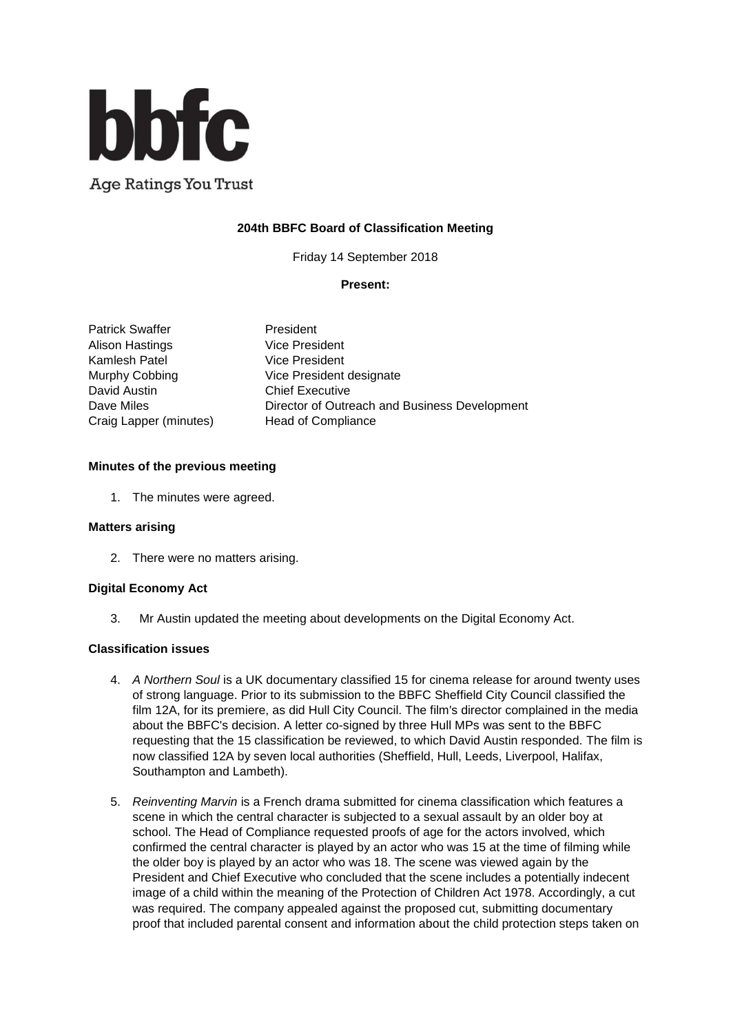

**Age Ratings You Trust** 

# **204th BBFC Board of Classification Meeting**

Friday 14 September 2018

## **Present:**

Patrick Swaffer President Alison Hastings **Vice President** Kamlesh Patel Vice President David Austin **Chief Executive** Craig Lapper (minutes) Head of Compliance

Murphy Cobbing Vice President designate Dave Miles **Director of Outreach and Business Development** 

## **Minutes of the previous meeting**

1. The minutes were agreed.

#### **Matters arising**

2. There were no matters arising.

#### **Digital Economy Act**

3. Mr Austin updated the meeting about developments on the Digital Economy Act.

#### **Classification issues**

- 4. *A Northern Soul* is a UK documentary classified 15 for cinema release for around twenty uses of strong language. Prior to its submission to the BBFC Sheffield City Council classified the film 12A, for its premiere, as did Hull City Council. The film's director complained in the media about the BBFC's decision. A letter co-signed by three Hull MPs was sent to the BBFC requesting that the 15 classification be reviewed, to which David Austin responded. The film is now classified 12A by seven local authorities (Sheffield, Hull, Leeds, Liverpool, Halifax, Southampton and Lambeth).
- 5. *Reinventing Marvin* is a French drama submitted for cinema classification which features a scene in which the central character is subjected to a sexual assault by an older boy at school. The Head of Compliance requested proofs of age for the actors involved, which confirmed the central character is played by an actor who was 15 at the time of filming while the older boy is played by an actor who was 18. The scene was viewed again by the President and Chief Executive who concluded that the scene includes a potentially indecent image of a child within the meaning of the Protection of Children Act 1978. Accordingly, a cut was required. The company appealed against the proposed cut, submitting documentary proof that included parental consent and information about the child protection steps taken on